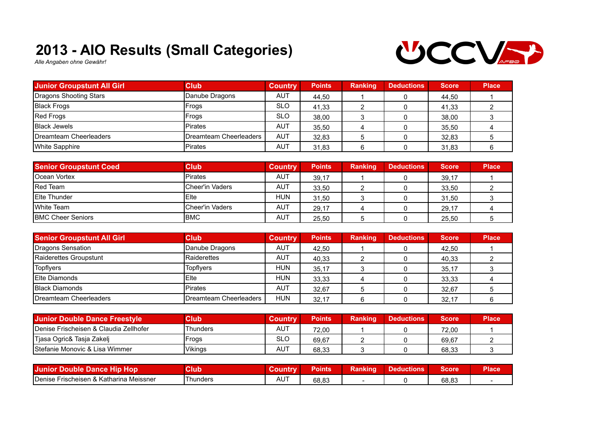## **2013 - AIO Results (Small Categories)**



*Alle Angaben ohne Gewähr!*

| <b>Junior Groupstunt All Girl</b> | <b>Club</b>            | <b>Country</b> | <b>Points</b> | Ranking | <b>Deductions</b> | <b>Score</b> | <b>Place</b> |
|-----------------------------------|------------------------|----------------|---------------|---------|-------------------|--------------|--------------|
| Dragons Shooting Stars            | Danube Dragons         | <b>AUT</b>     | 44.50         |         |                   | 44.50        |              |
| <b>Black Frogs</b>                | Frogs                  | <b>SLO</b>     | 41.33         |         |                   | 41.33        |              |
| Red Frogs                         | Frogs                  | <b>SLO</b>     | 38.00         |         |                   | 38,00        |              |
| <b>Black Jewels</b>               | <b>Pirates</b>         | <b>AUT</b>     | 35.50         |         |                   | 35.50        |              |
| Dreamteam Cheerleaders            | Dreamteam Cheerleaders | <b>AUT</b>     | 32,83         |         |                   | 32,83        |              |
| White Sapphire                    | <b>Pirates</b>         | <b>AUT</b>     | 31,83         |         |                   | 31,83        |              |

| <b>Senior Groupstunt Coed</b> | <b>Club</b>     | <b>Country</b> | <b>Points</b> | <b>Ranking</b> | <b>Deductions</b> | <b>Score</b> | <b>Place</b> |
|-------------------------------|-----------------|----------------|---------------|----------------|-------------------|--------------|--------------|
| <b>IOcean Vortex</b>          | <b>Pirates</b>  | <b>AUT</b>     | 39.17         |                |                   | 39,17        |              |
| <b>IRed Team</b>              | Cheer'in Vaders | AUT            | 33.50         |                |                   | 33.50        |              |
| <b>IElte Thunder</b>          | <b>IEIte</b>    | <b>HUN</b>     | 31.50         |                |                   | 31,50        |              |
| <b>IWhite Team</b>            | Cheer'in Vaders | AUT            | 29.17         |                |                   | 29.17        |              |
| <b>IBMC Cheer Seniors</b>     | <b>IBMC</b>     | AUT            | 25.50         |                |                   | 25.50        |              |

| <b>Senior Groupstunt All Girl</b> | <b>Club</b>            | <b>Country</b> | <b>Points</b> | <b>Ranking</b> | <b>Deductions</b> | <b>Score</b> | <b>Place</b> |
|-----------------------------------|------------------------|----------------|---------------|----------------|-------------------|--------------|--------------|
| Dragons Sensation                 | Danube Dragons         | <b>AUT</b>     | 42.50         |                |                   | 42.50        |              |
| Raiderettes Groupstunt            | Raiderettes            | <b>AUT</b>     | 40.33         |                |                   | 40.33        |              |
| Topflyers                         | <b>Topflvers</b>       | <b>HUN</b>     | 35,17         |                |                   | 35,17        |              |
| <b>IElte Diamonds</b>             | Elte                   | <b>HUN</b>     | 33.33         |                |                   | 33.33        |              |
| <b>Black Diamonds</b>             | <b>Pirates</b>         | <b>AUT</b>     | 32.67         |                |                   | 32.67        |              |
| Dreamteam Cheerleaders            | Dreamteam Cheerleaders | <b>HUN</b>     | 32.17         |                |                   | 32.17        |              |

| Junior Double Dance Freestyle              | <b>Club</b> | <b>Country</b> | <b>Points</b> | <b>Ranking</b> | <b>Deductions</b> | <b>Score</b> | <b>Place</b> |
|--------------------------------------------|-------------|----------------|---------------|----------------|-------------------|--------------|--------------|
| IDenise Frischeisen & Claudia Zellhofer    | Thunders    | AUT            | 72.00         |                |                   | 72.00        |              |
| Tiasa Ogric& Tasja Zakelj                  | Frogs       | <b>SLO</b>     | 69.67         |                |                   | 69.67        |              |
| <b>IStefanie Monovic &amp; Lisa Wimmer</b> | Vikings     | AUT            | 68.33         |                |                   | 68.33        |              |

| Hop<br><b>TJunior</b><br>Double Dance Hip | Club     |                   | Points | Ranking | leductions | Score | Place |
|-------------------------------------------|----------|-------------------|--------|---------|------------|-------|-------|
| Denise Frischeisen & Katharina Meissner   | Thunders | $AU^{\mathsf{T}}$ | 68.83  |         |            | 68.83 |       |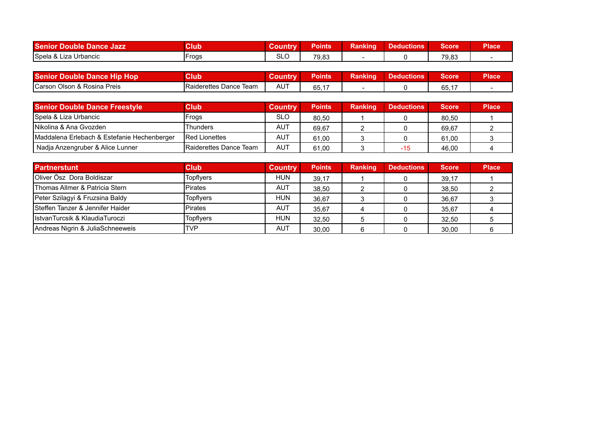| <b>Senior</b><br>Double Dance Jazz | Club  | Coun | Points | -<br>.<br>Ranking | <b>Deductions</b> | Score | <b>Place</b> |
|------------------------------------|-------|------|--------|-------------------|-------------------|-------|--------------|
| Spela & L<br>Liza Urbancic         | Frogs | SLO  | 79,83  |                   |                   | 79,83 |              |

| <b>Senior Double Dance Hip Hop</b> | Club                           | <b>Coun</b> | Points               | kankind | - Паписиону | Score' | <b>Place</b> |
|------------------------------------|--------------------------------|-------------|----------------------|---------|-------------|--------|--------------|
| Carson Olson & Rosina Preis        | <b>IRaiderettes Dance Team</b> | <b>AUT</b>  | $\sim$ $\sim$<br>◡◡. |         |             | 65.17  |              |

| <b>Senior Double Dance Freestyle</b>        | <b>Club</b>             | <b>Country</b> | <b>Points</b> | <b>Ranking</b> | <b>Deductions</b> | <b>Score</b> | <b>Place</b> |
|---------------------------------------------|-------------------------|----------------|---------------|----------------|-------------------|--------------|--------------|
| Spela & Liza Urbancic                       | Frogs                   | <b>SLO</b>     | 80.50         |                |                   | 80.50        |              |
| INikolina & Ana Gvozden                     | Thunders                | <b>AUT</b>     | 69.67         |                |                   | 69.67        |              |
| Maddalena Erlebach & Estefanie Hechenberger | <b>IRed Lionettes</b>   | <b>AUT</b>     | 61.00         |                |                   | 61.00        |              |
| Nadja Anzengruber & Alice Lunner            | IRaiderettes Dance Team | AUT            | 61.00         |                | -15               | 46.00        |              |

| <b>Partnerstunt</b>              | <b>Club</b>      | <b>Country</b> | <b>Points</b> | Ranking | <b>Deductions</b> | <b>Score</b> | <b>Place</b> |
|----------------------------------|------------------|----------------|---------------|---------|-------------------|--------------|--------------|
| Oliver Ösz Dora Boldiszar        | <b>Topflyers</b> | <b>HUN</b>     | 39.17         |         |                   | 39.17        |              |
| Thomas Allmer & Patricia Stern   | <b>Pirates</b>   | AUT            | 38.50         |         |                   | 38.50        |              |
| Peter Szilagyi & Fruzsina Baldy  | <b>Topflvers</b> | <b>HUN</b>     | 36.67         |         |                   | 36.67        |              |
| Steffen Tanzer & Jennifer Haider | <b>Pirates</b>   | AUT            | 35.67         |         |                   | 35.67        |              |
| IlstvanTurcsik & KlaudiaTuroczi  | <b>Topflyers</b> | <b>HUN</b>     | 32.50         |         |                   | 32.50        |              |
| Andreas Nigrin & JuliaSchneeweis | <b>TVP</b>       | AUT            | 30.00         |         |                   | 30.00        |              |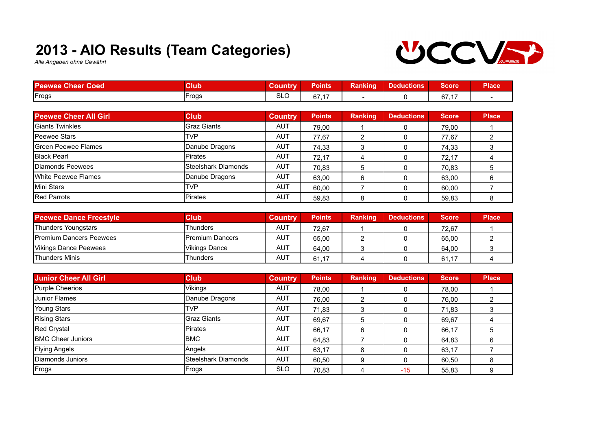## **2013 - AIO Results (Team Categories)**



*Alle Angaben ohne Gewähr!*

| <b>Peewee Cheer Coed</b>      | <b>Club</b>          | <b>Country</b> | <b>Points</b> | <b>Ranking</b> | <b>Deductions</b> | <b>Score</b> | <b>Place</b>   |
|-------------------------------|----------------------|----------------|---------------|----------------|-------------------|--------------|----------------|
| Frogs                         | <b>IFrogs</b>        | <b>SLO</b>     | 67,17         |                | 0                 | 67,17        |                |
|                               |                      |                |               |                |                   |              |                |
| <b>Peewee Cheer All Girl</b>  | <b>Club</b>          | <b>Country</b> | <b>Points</b> | Ranking        | <b>Deductions</b> | Score        | <b>Place</b>   |
| Giants Twinkles               | Graz Giants          | <b>AUT</b>     | 79,00         |                | 0                 | 79,00        |                |
| IPeewee Stars                 | <b>TVP</b>           | <b>AUT</b>     | 77,67         | 2              | 0                 | 77,67        | $\overline{2}$ |
| lGreen Peewee Flames          | Danube Dragons       | <b>AUT</b>     | 74,33         | 3              | $\Omega$          | 74,33        | 3              |
| <b>Black Pearl</b>            | <b>Pirates</b>       | <b>AUT</b>     | 72,17         | 4              | 0                 | 72,17        | 4              |
| Diamonds Peewees              | ISteelshark Diamonds | <b>AUT</b>     | 70,83         | 5              | $\Omega$          | 70,83        | 5              |
| White Peewee Flames           | Danube Dragons       | <b>AUT</b>     | 63,00         | 6              | $\Omega$          | 63,00        | 6              |
| Mini Stars                    | <b>TVP</b>           | <b>AUT</b>     | 60,00         |                | $\mathbf{0}$      | 60,00        |                |
| <b>Red Parrots</b>            | <b>IPirates</b>      | <b>AUT</b>     | 59,83         | 8              | $\mathbf{0}$      | 59,83        | 8              |
|                               |                      |                |               |                |                   |              |                |
| <b>Peewee Dance Freestyle</b> | <b>Club</b>          | <b>Country</b> | <b>Points</b> | <b>Ranking</b> | <b>Deductions</b> | Score        | <b>Place</b>   |
| Thunders Youngstars           | Thunders             | AUT            | 72,67         |                | 0                 | 72,67        |                |
|                               |                      |                |               |                |                   |              |                |

| <b>IPremium Dancers Peewees</b> | Premium Dancers | AUT        | 65.00 |  | 65.00          |  |
|---------------------------------|-----------------|------------|-------|--|----------------|--|
| Vikings Dance Peewees           | Vikings Dance   | 11T<br>AU. | 64.00 |  | 64.00          |  |
| <b>Thunders Minis</b>           | Thunders        | 11T<br>AU. | 61.   |  | . –<br>61<br>ັ |  |

| <b>Junior Cheer All Girl</b> | <b>Club</b>         | <b>Country</b> | <b>Points</b> | <b>Ranking</b> | <b>Deductions</b> | <b>Score</b> | <b>Place</b> |
|------------------------------|---------------------|----------------|---------------|----------------|-------------------|--------------|--------------|
| Purple Cheerios              | Vikings             | AUT            | 78,00         |                | 0                 | 78,00        |              |
| Junior Flames                | Danube Dragons      | <b>AUT</b>     | 76.00         |                |                   | 76,00        |              |
| Young Stars                  | <b>TVP</b>          | <b>AUT</b>     | 71,83         |                |                   | 71,83        |              |
| <b>Rising Stars</b>          | <b>Graz Giants</b>  | <b>AUT</b>     | 69.67         | 5              |                   | 69,67        |              |
| Red Crystal                  | Pirates             | <b>AUT</b>     | 66.17         | 6              | 0                 | 66,17        |              |
| <b>BMC Cheer Juniors</b>     | IBMC.               | <b>AUT</b>     | 64.83         |                | 0                 | 64.83        |              |
| <b>Flying Angels</b>         | Angels              | AUT            | 63.17         | 8              |                   | 63,17        |              |
| Diamonds Juniors             | Steelshark Diamonds | <b>AUT</b>     | 60.50         | 9              | 0                 | 60,50        |              |
| Frogs                        | Frogs               | <b>SLO</b>     | 70.83         |                | $-15$             | 55,83        |              |